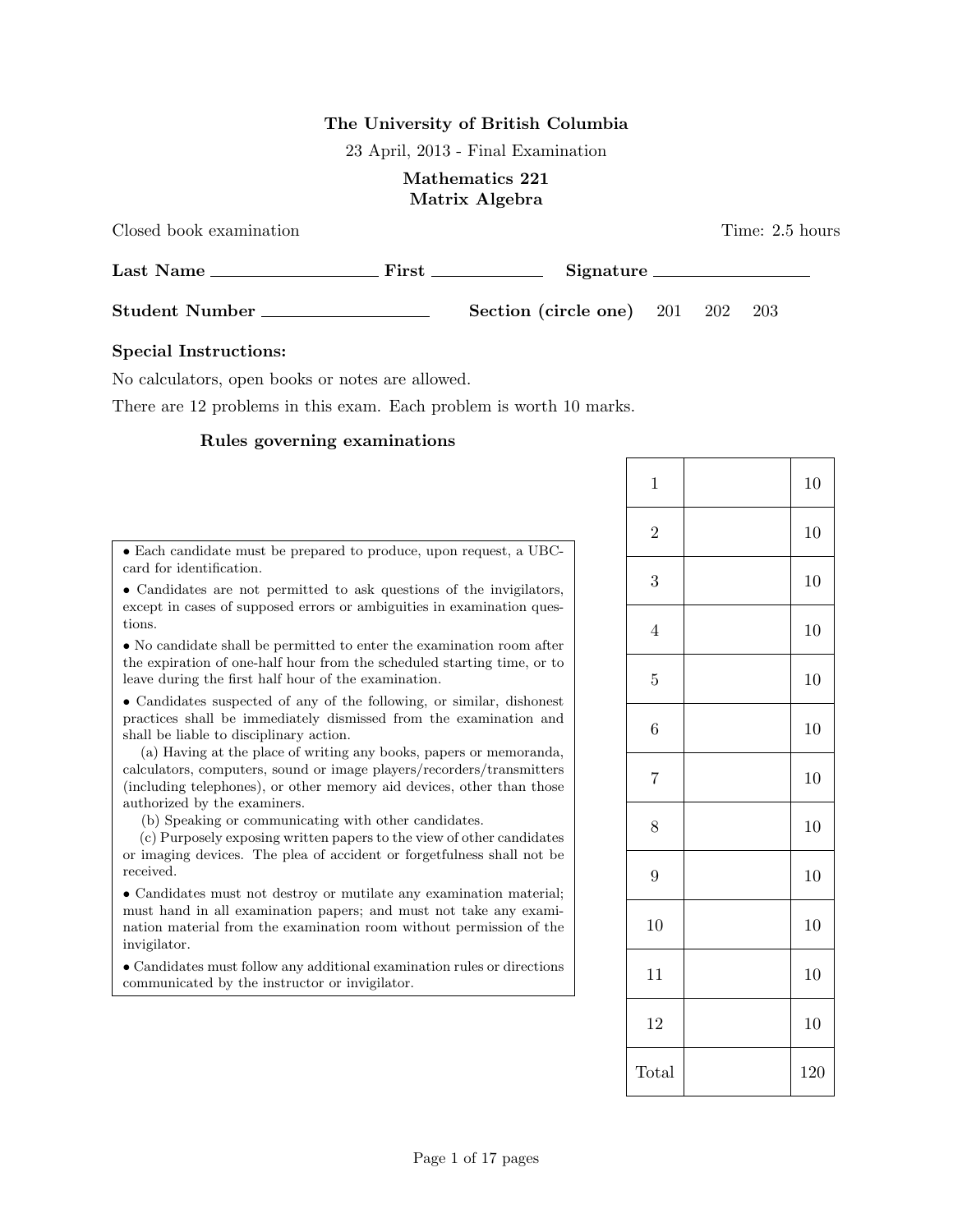# The University of British Columbia

23 April, 2013 - Final Examination

# Mathematics 221 Matrix Algebra

Closed book examination Time: 2.5 hours

| Last Name<br>First    |  | Signature |                                  |  |  |       |  |
|-----------------------|--|-----------|----------------------------------|--|--|-------|--|
| <b>Student Number</b> |  |           | Section (circle one) $201$ $202$ |  |  | - 203 |  |

# Special Instructions:

No calculators, open books or notes are allowed.

There are 12 problems in this exam. Each problem is worth 10 marks.

# Rules governing examinations

| • Each candidate must be prepared to produce, upon request, a UBC-<br>card for identification.                                                                                                                                                                                                                                                                                                                                                                                                                                                                                                                                                                        |
|-----------------------------------------------------------------------------------------------------------------------------------------------------------------------------------------------------------------------------------------------------------------------------------------------------------------------------------------------------------------------------------------------------------------------------------------------------------------------------------------------------------------------------------------------------------------------------------------------------------------------------------------------------------------------|
| • Candidates are not permitted to ask questions of the invigilators,<br>except in cases of supposed errors or ambiguities in examination ques-<br>tions.                                                                                                                                                                                                                                                                                                                                                                                                                                                                                                              |
| • No candidate shall be permitted to enter the examination room after<br>the expiration of one-half hour from the scheduled starting time, or to<br>leave during the first half hour of the examination.                                                                                                                                                                                                                                                                                                                                                                                                                                                              |
| • Candidates suspected of any of the following, or similar, dishonest<br>practices shall be immediately dismissed from the examination and<br>shall be liable to disciplinary action.<br>(a) Having at the place of writing any books, papers or memoranda,<br>calculators, computers, sound or image players/recorders/transmitters<br>(including telephones), or other memory aid devices, other than those<br>authorized by the examiners.<br>(b) Speaking or communicating with other candidates.<br>(c) Purposely exposing written papers to the view of other candidates<br>or imaging devices. The plea of accident or forgetfulness shall not be<br>received. |
| • Candidates must not destroy or mutilate any examination material;<br>must hand in all examination papers; and must not take any exami-<br>nation material from the examination room without permission of the<br>invigilator.                                                                                                                                                                                                                                                                                                                                                                                                                                       |
| • Candidates must follow any additional examination rules or directions<br>communicated by the instructor or invigilator.                                                                                                                                                                                                                                                                                                                                                                                                                                                                                                                                             |
|                                                                                                                                                                                                                                                                                                                                                                                                                                                                                                                                                                                                                                                                       |

| $\mathbf{1}$   | 10  |
|----------------|-----|
| $\overline{2}$ | 10  |
| 3              | 10  |
| $\sqrt{4}$     | 10  |
| $\overline{5}$ | 10  |
| $\overline{6}$ | 10  |
| $\sqrt{ }$     | 10  |
| 8              | 10  |
| $\overline{9}$ | 10  |
| 10             | 10  |
| 11             | 10  |
| 12             | 10  |
| Total          | 120 |

Page 1 of 17 pages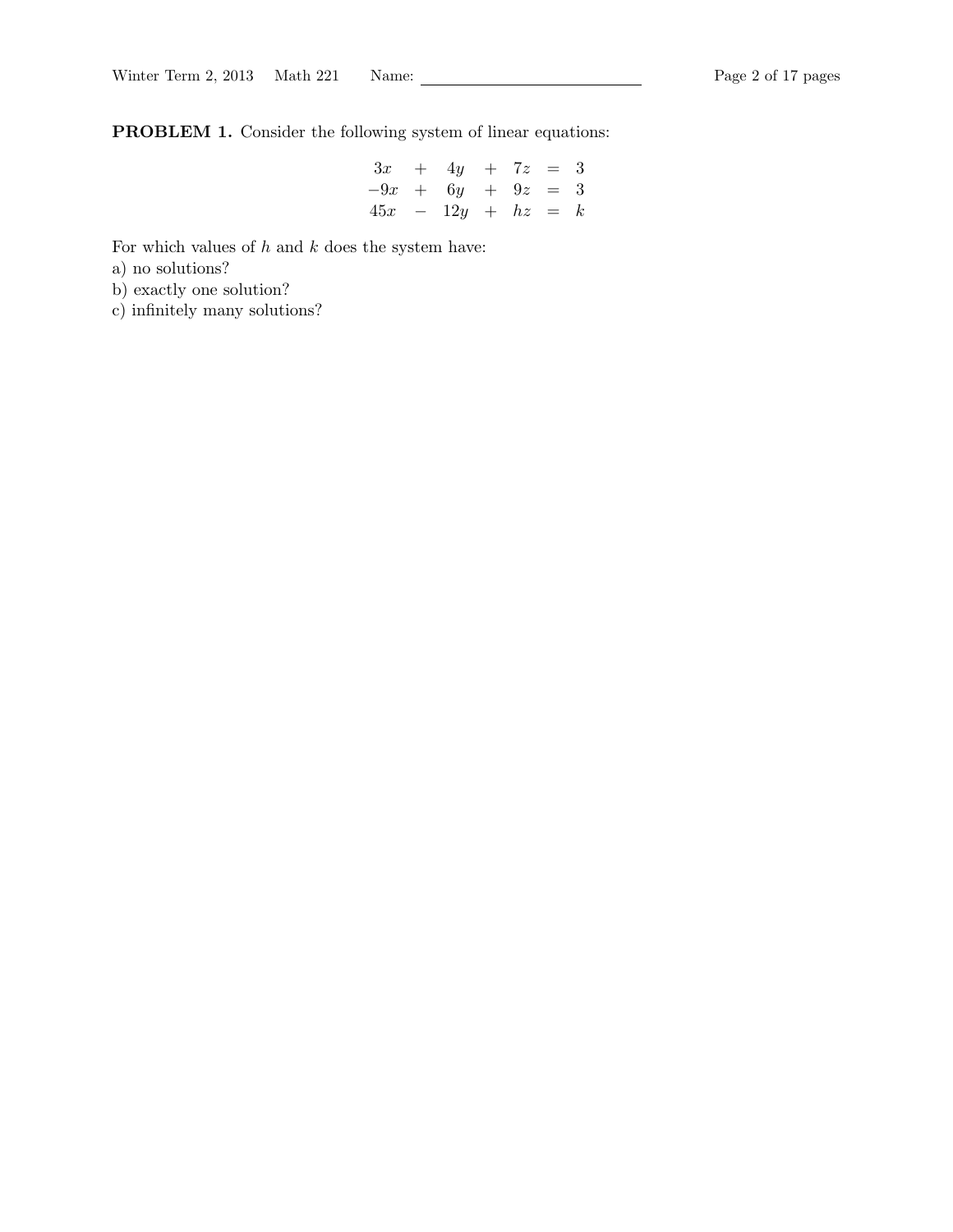PROBLEM 1. Consider the following system of linear equations:

$$
3x + 4y + 7z = 3\n-9x + 6y + 9z = 3\n45x - 12y + hz = k
$$

For which values of  $h$  and  $k$  does the system have:

a) no solutions?

b) exactly one solution?

c) infinitely many solutions?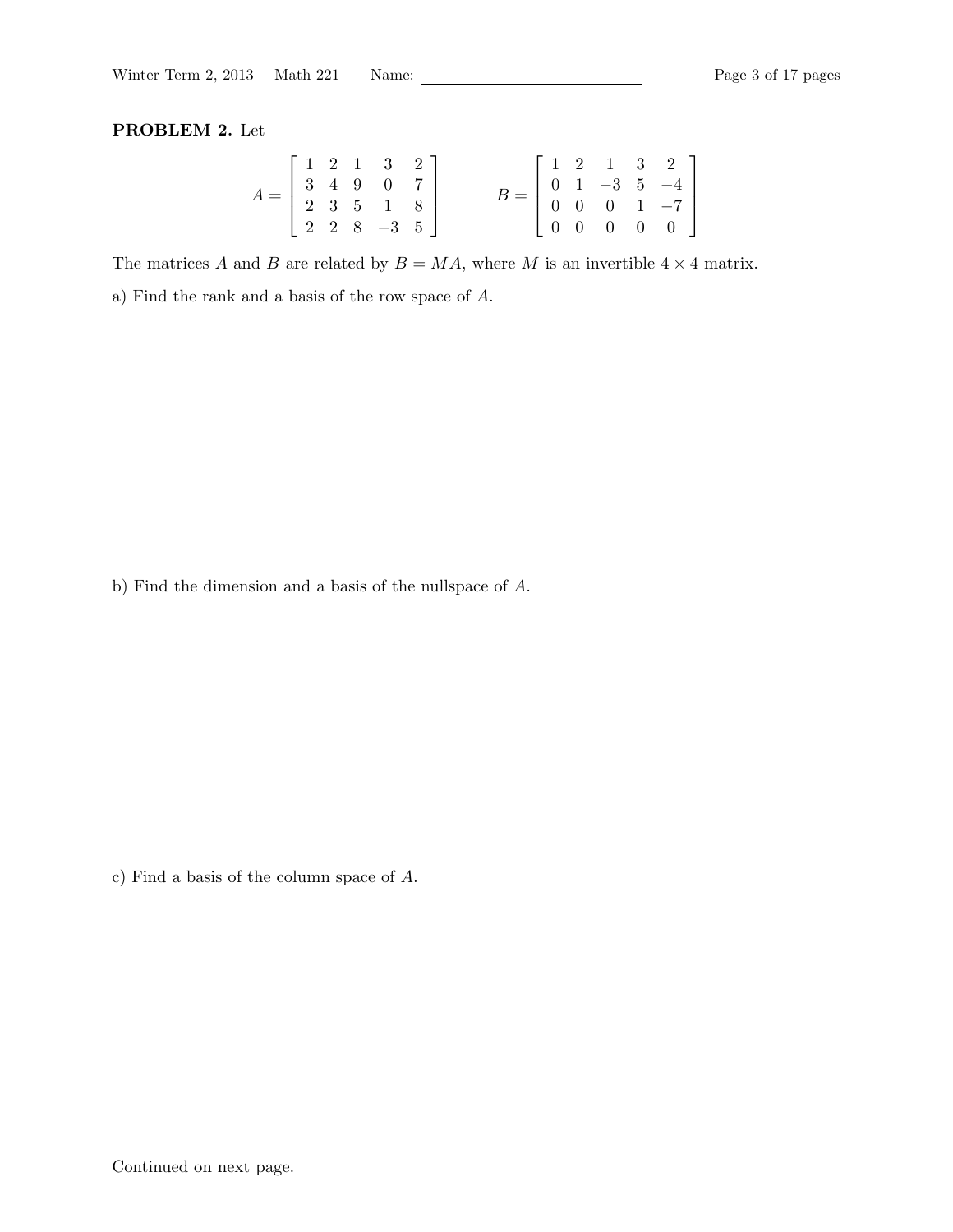#### PROBLEM 2. Let

|                                                                                                                   |  | $\begin{bmatrix} 1 & 2 & 1 & 3 & 2 \end{bmatrix}$ |  |  |  |                                                                                                                                            |  |
|-------------------------------------------------------------------------------------------------------------------|--|---------------------------------------------------|--|--|--|--------------------------------------------------------------------------------------------------------------------------------------------|--|
|                                                                                                                   |  |                                                   |  |  |  |                                                                                                                                            |  |
|                                                                                                                   |  |                                                   |  |  |  |                                                                                                                                            |  |
| $A = \left[ \begin{array}{cccc} 3 & 4 & 9 & 0 & 7 \\ 2 & 3 & 5 & 1 & 8 \\ 2 & 2 & 8 & -3 & 5 \end{array} \right]$ |  |                                                   |  |  |  | $B = \left[ \begin{array}{cccccc} 1 & 2 & 1 & 3 & 2 \\ 0 & 1 & -3 & 5 & -4 \\ 0 & 0 & 0 & 1 & -7 \\ 0 & 0 & 0 & 0 & 0 \end{array} \right]$ |  |

The matrices A and B are related by  $B = MA$ , where M is an invertible  $4 \times 4$  matrix.

a) Find the rank and a basis of the row space of A.

b) Find the dimension and a basis of the nullspace of A.

c) Find a basis of the column space of A.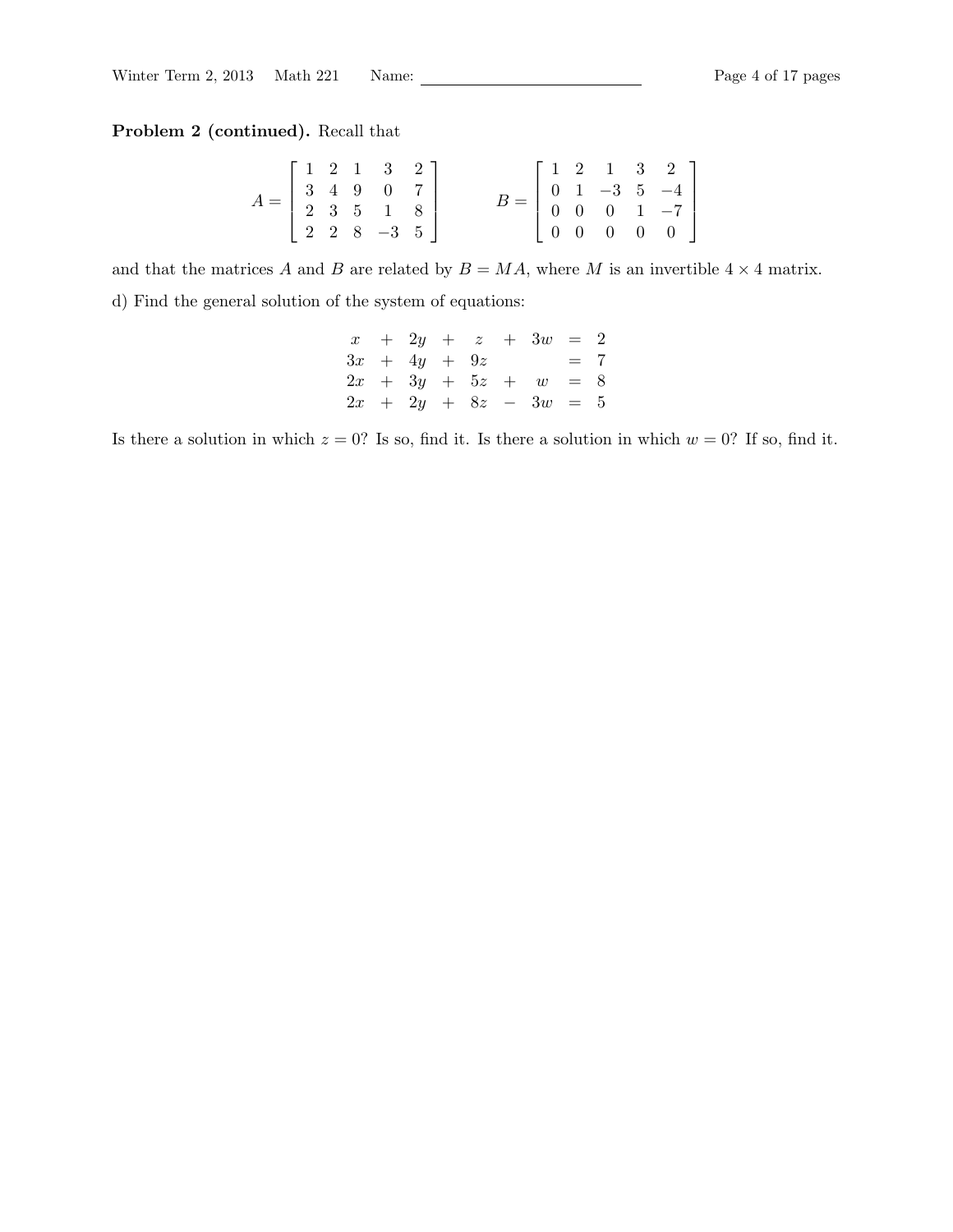# Problem 2 (continued). Recall that

$$
A = \begin{bmatrix} 1 & 2 & 1 & 3 & 2 \\ 3 & 4 & 9 & 0 & 7 \\ 2 & 3 & 5 & 1 & 8 \\ 2 & 2 & 8 & -3 & 5 \end{bmatrix} \qquad B = \begin{bmatrix} 1 & 2 & 1 & 3 & 2 \\ 0 & 1 & -3 & 5 & -4 \\ 0 & 0 & 0 & 1 & -7 \\ 0 & 0 & 0 & 0 & 0 \end{bmatrix}
$$

and that the matrices A and B are related by  $B = MA$ , where M is an invertible  $4 \times 4$  matrix. d) Find the general solution of the system of equations:

x + 2y + z + 3w = 2 3x + 4y + 9z = 7 2x + 3y + 5z + w = 8 2x + 2y + 8z − 3w = 5

Is there a solution in which  $z = 0$ ? Is so, find it. Is there a solution in which  $w = 0$ ? If so, find it.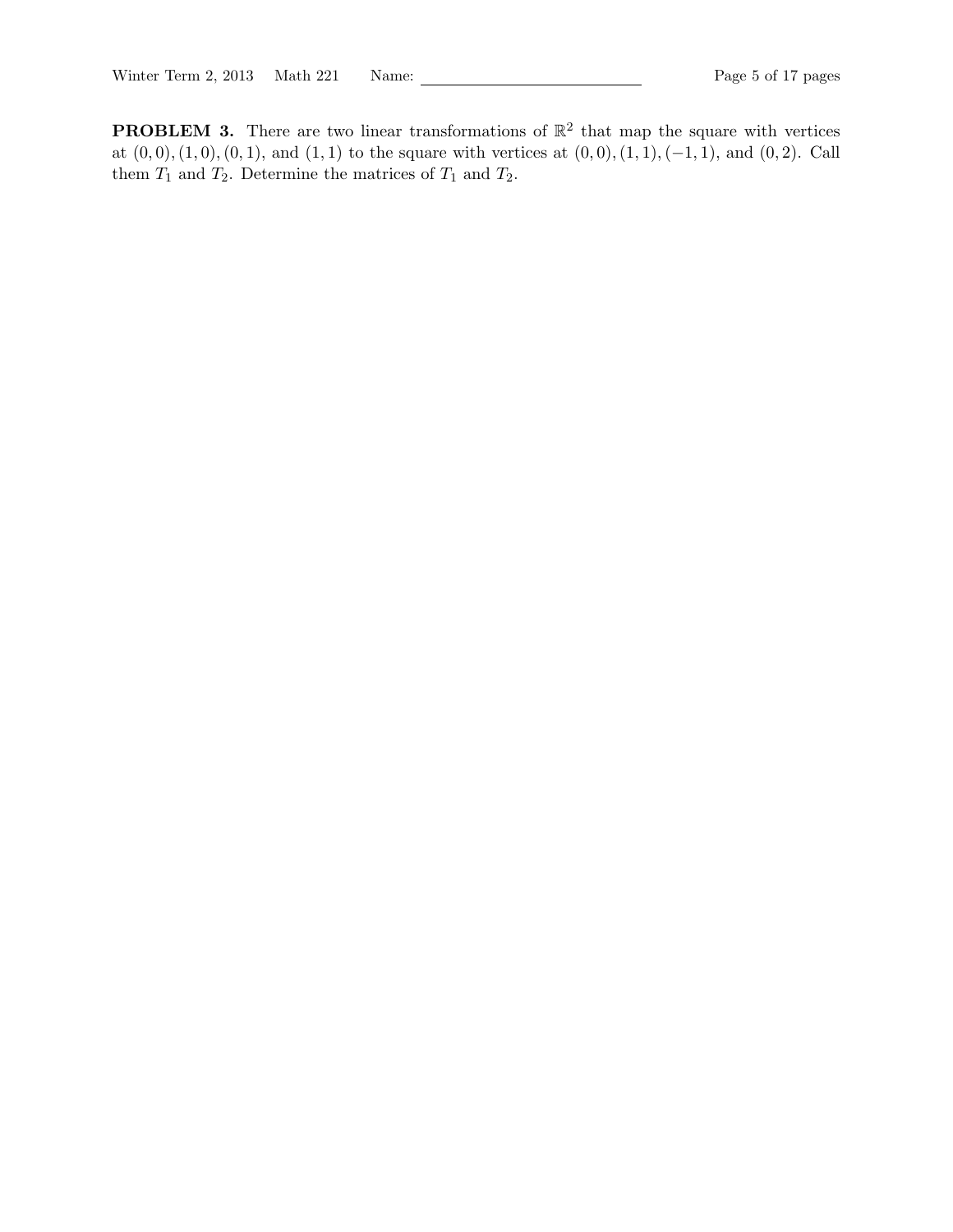**PROBLEM 3.** There are two linear transformations of  $\mathbb{R}^2$  that map the square with vertices at  $(0, 0), (1, 0), (0, 1)$ , and  $(1, 1)$  to the square with vertices at  $(0, 0), (1, 1), (-1, 1)$ , and  $(0, 2)$ . Call them  $T_1$  and  $T_2$ . Determine the matrices of  $T_1$  and  $T_2$ .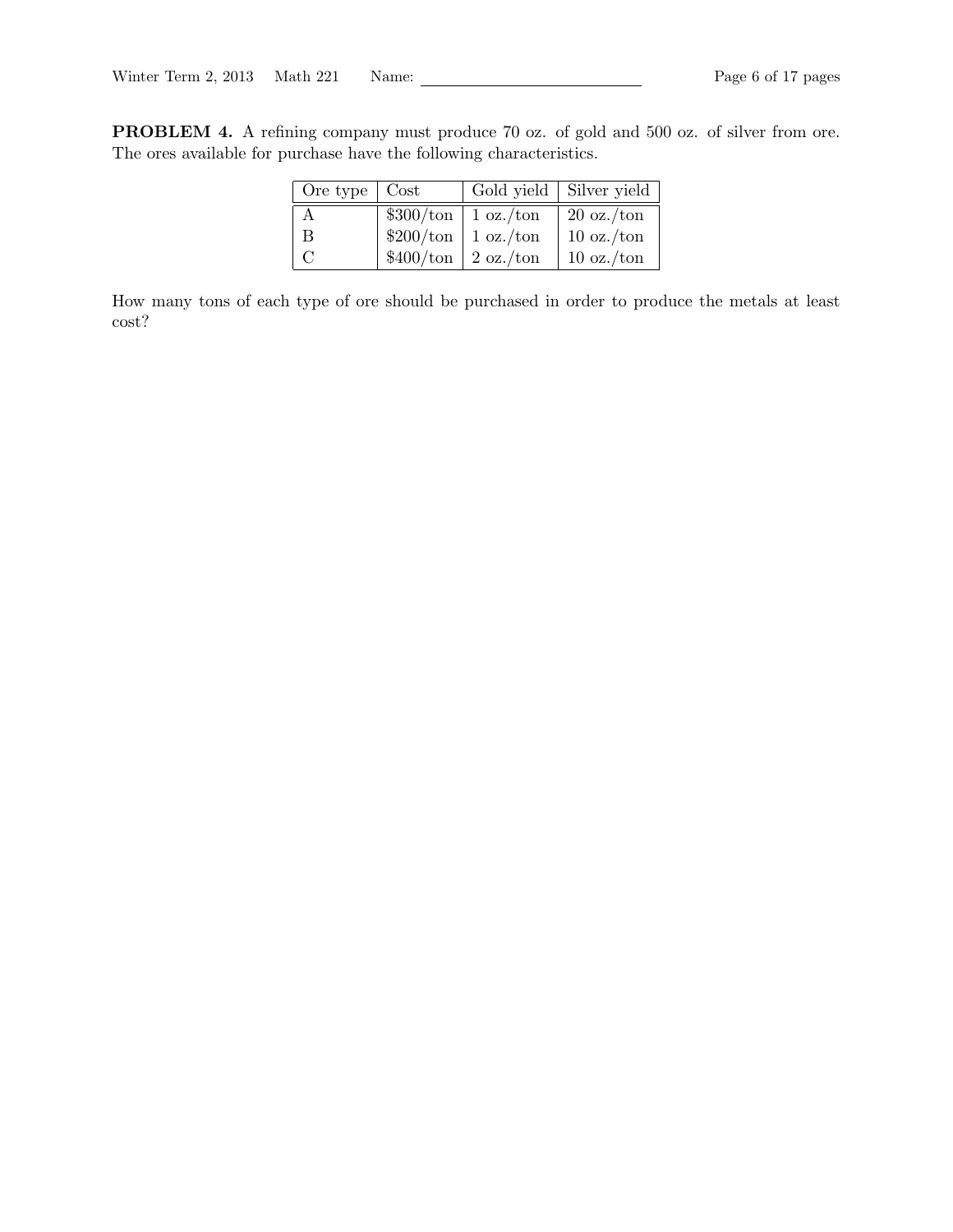PROBLEM 4. A refining company must produce 70 oz. of gold and 500 oz. of silver from ore. The ores available for purchase have the following characteristics.

| Ore type $\vert$ Cost | Gold yield   Silver yield      |                             |
|-----------------------|--------------------------------|-----------------------------|
|                       | $\$300/\text{ton}$   1 oz./ton | $20 \text{ oz.}/\text{ton}$ |
| <sub>B</sub>          | $$200/ton$   1 oz./ton         | $10 \text{ oz.}/\text{ton}$ |
| $\mathcal{C}$         | $$400/ton$ 2 oz./ton           | $10 \text{ oz.}/\text{ton}$ |

How many tons of each type of ore should be purchased in order to produce the metals at least cost?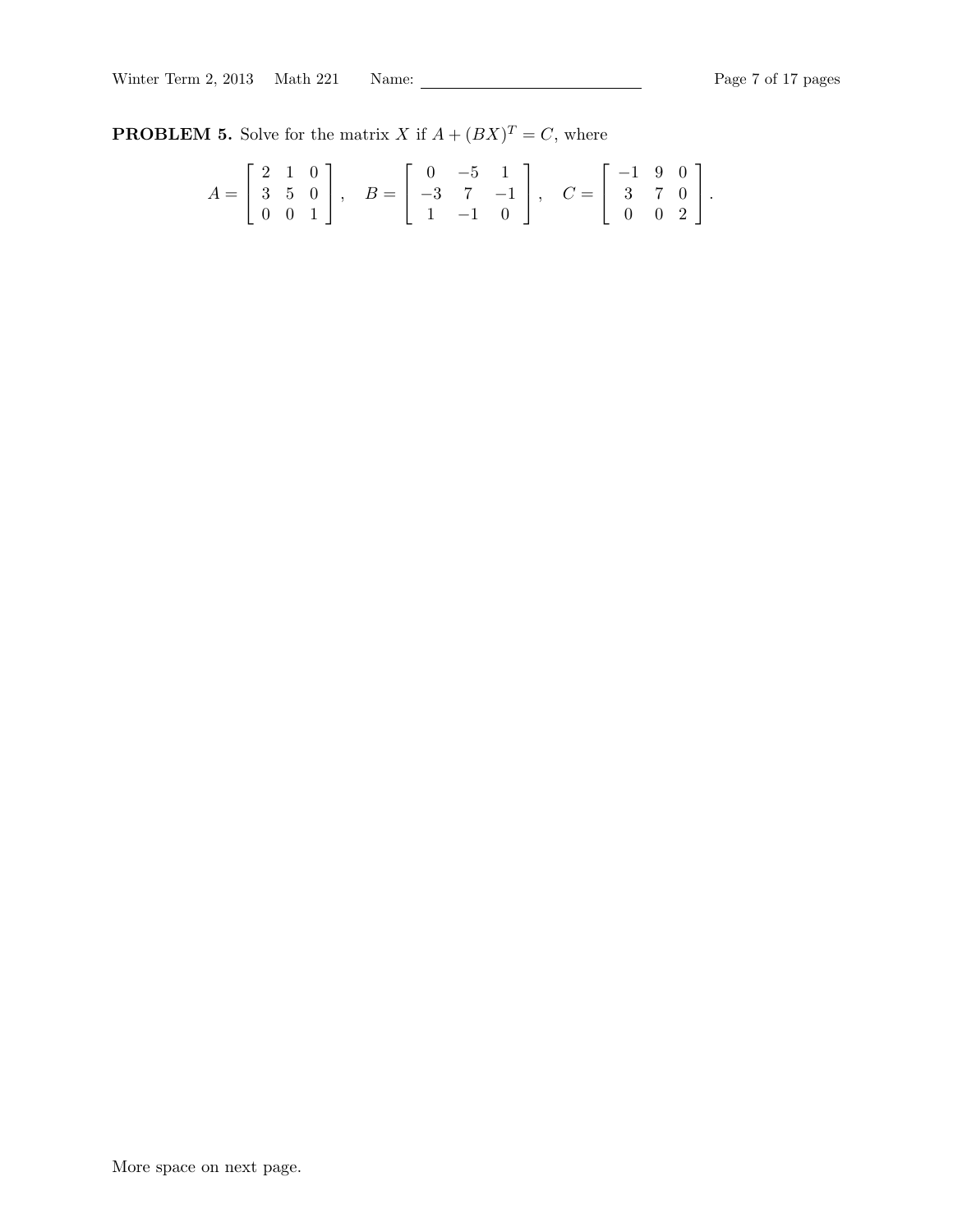**PROBLEM 5.** Solve for the matrix X if  $A + (BX)^T = C$ , where

$$
A = \begin{bmatrix} 2 & 1 & 0 \\ 3 & 5 & 0 \\ 0 & 0 & 1 \end{bmatrix}, \quad B = \begin{bmatrix} 0 & -5 & 1 \\ -3 & 7 & -1 \\ 1 & -1 & 0 \end{bmatrix}, \quad C = \begin{bmatrix} -1 & 9 & 0 \\ 3 & 7 & 0 \\ 0 & 0 & 2 \end{bmatrix}.
$$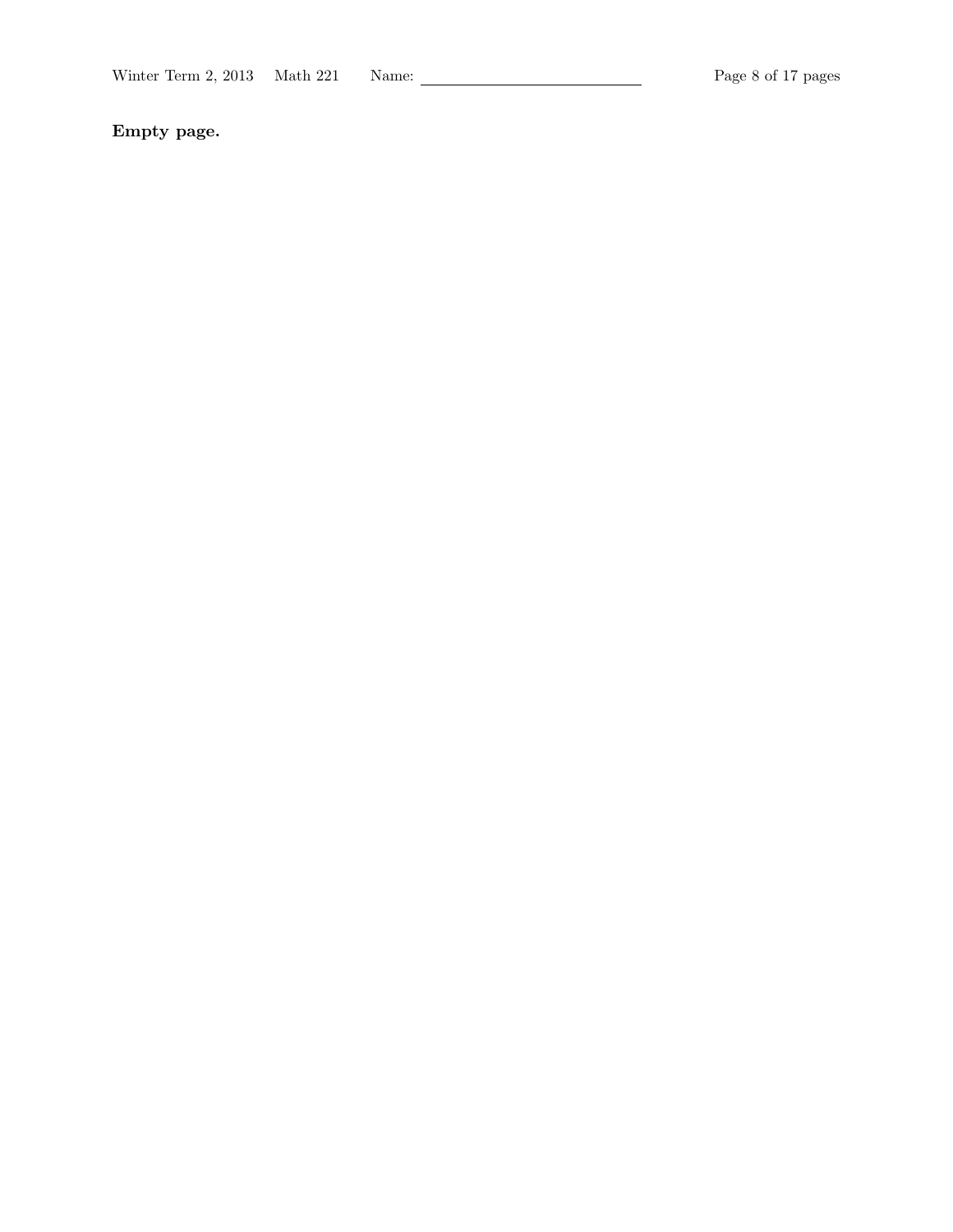Empty page.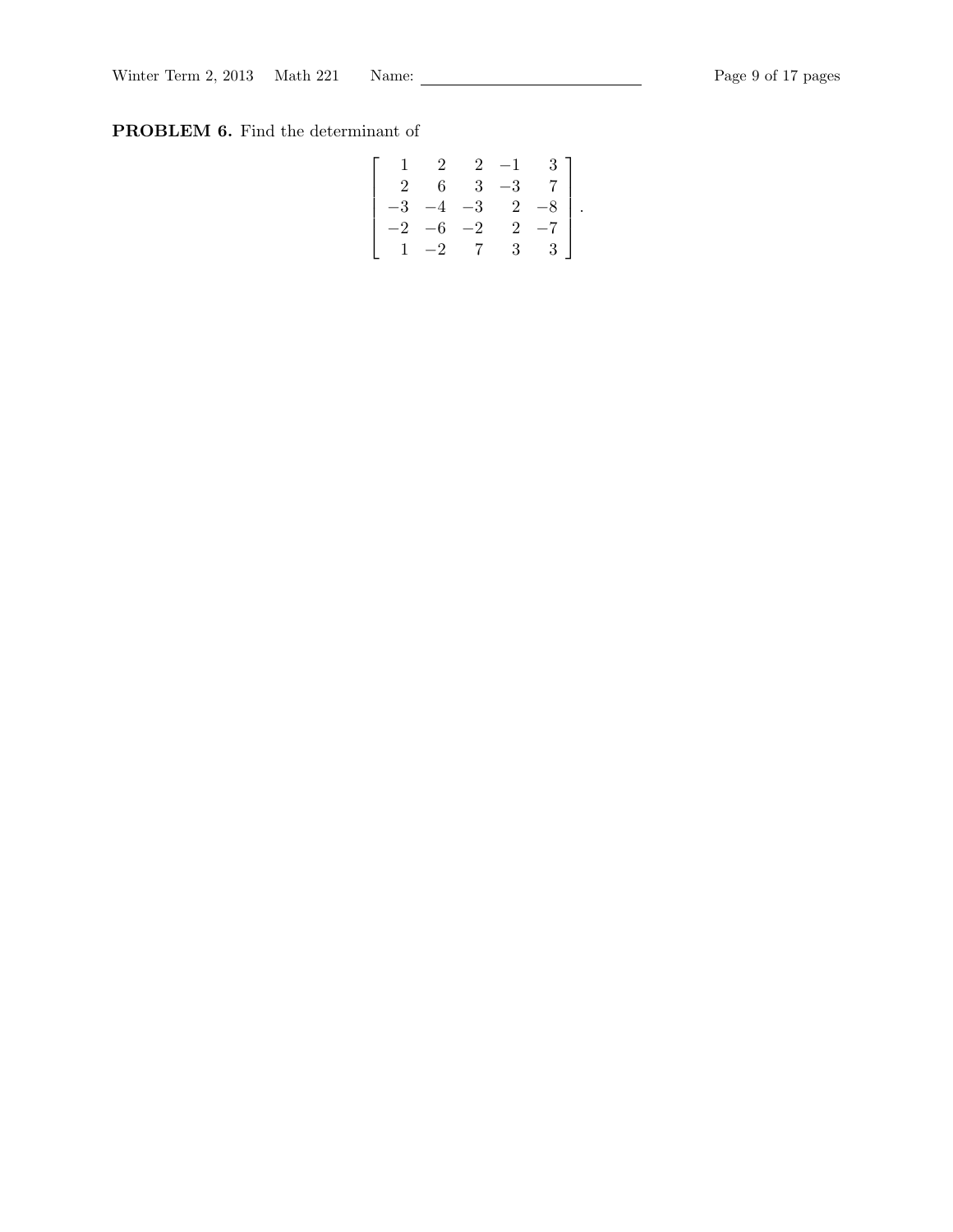# PROBLEM 6. Find the determinant of

$$
\left[\begin{array}{rrrr} 1 & 2 & 2 & -1 & 3 \\ 2 & 6 & 3 & -3 & 7 \\ -3 & -4 & -3 & 2 & -8 \\ -2 & -6 & -2 & 2 & -7 \\ 1 & -2 & 7 & 3 & 3 \end{array}\right].
$$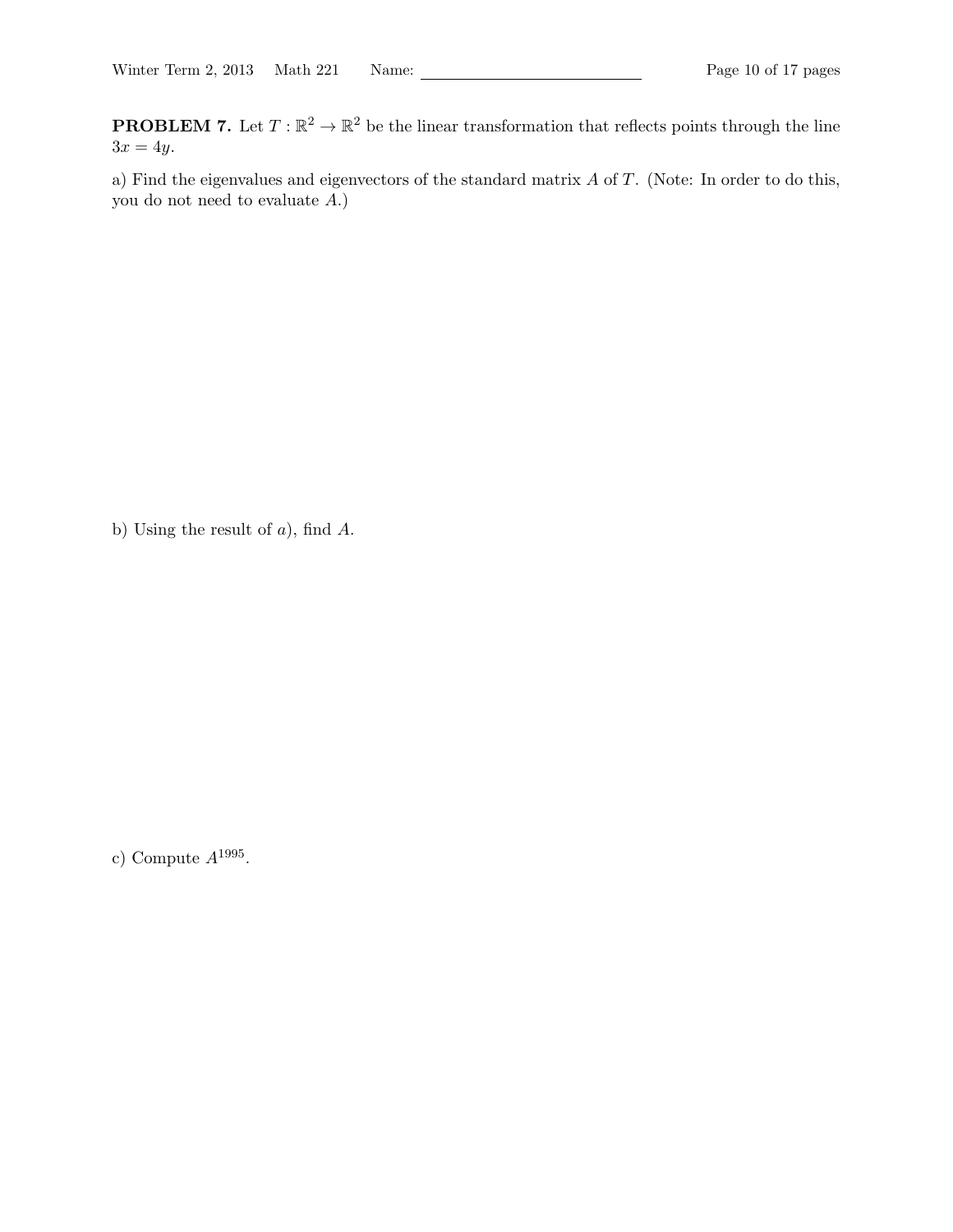**PROBLEM 7.** Let  $T : \mathbb{R}^2 \to \mathbb{R}^2$  be the linear transformation that reflects points through the line  $3x = 4y$ .

a) Find the eigenvalues and eigenvectors of the standard matrix A of T. (Note: In order to do this, you do not need to evaluate  $A$ .)

b) Using the result of  $a$ ), find  $A$ .

c) Compute  $A^{1995}$ .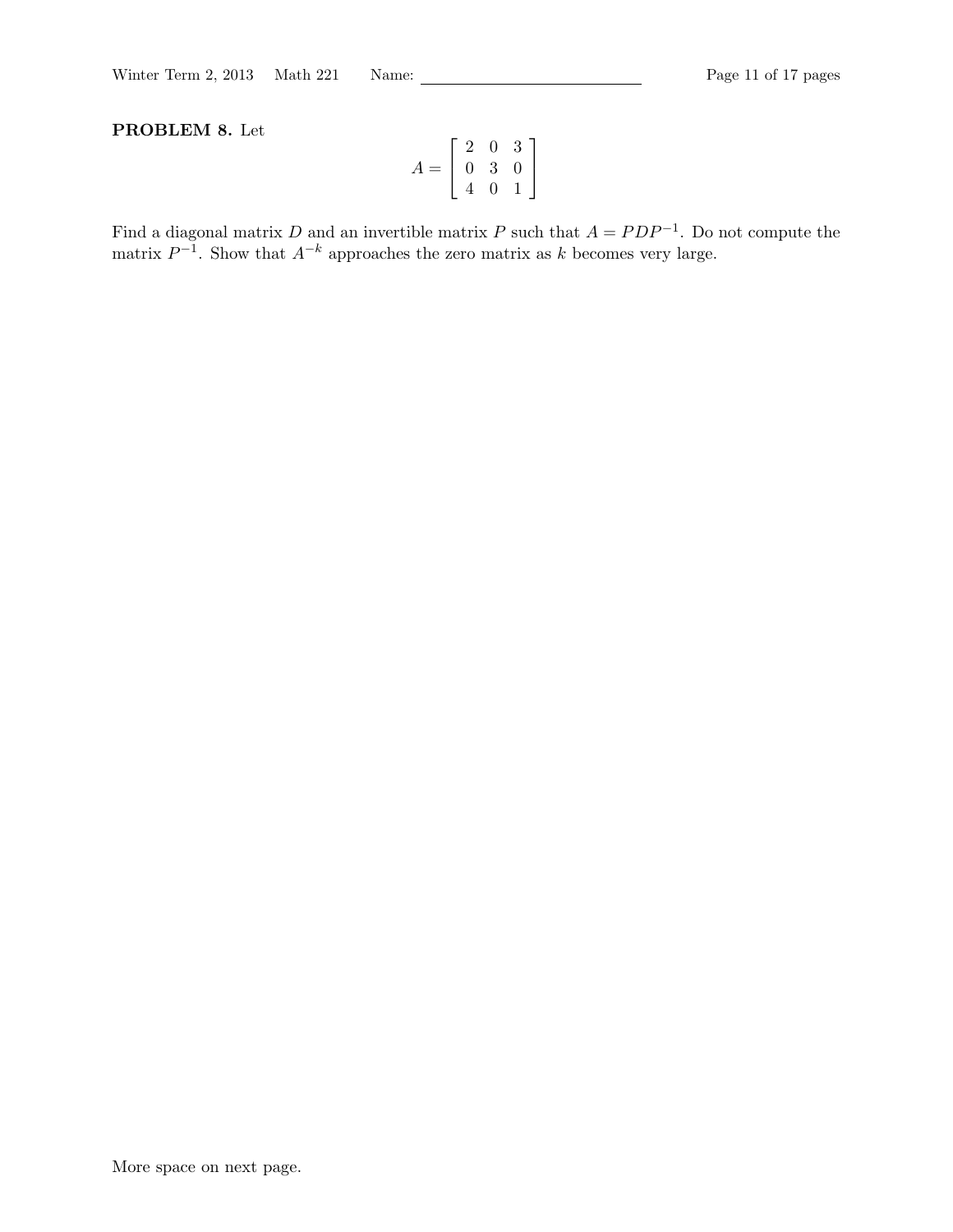# PROBLEM 8. Let

$$
A = \left[ \begin{array}{rrr} 2 & 0 & 3 \\ 0 & 3 & 0 \\ 4 & 0 & 1 \end{array} \right]
$$

Find a diagonal matrix D and an invertible matrix P such that  $A = PDP^{-1}$ . Do not compute the matrix  $P^{-1}$ . Show that  $A^{-k}$  approaches the zero matrix as k becomes very large.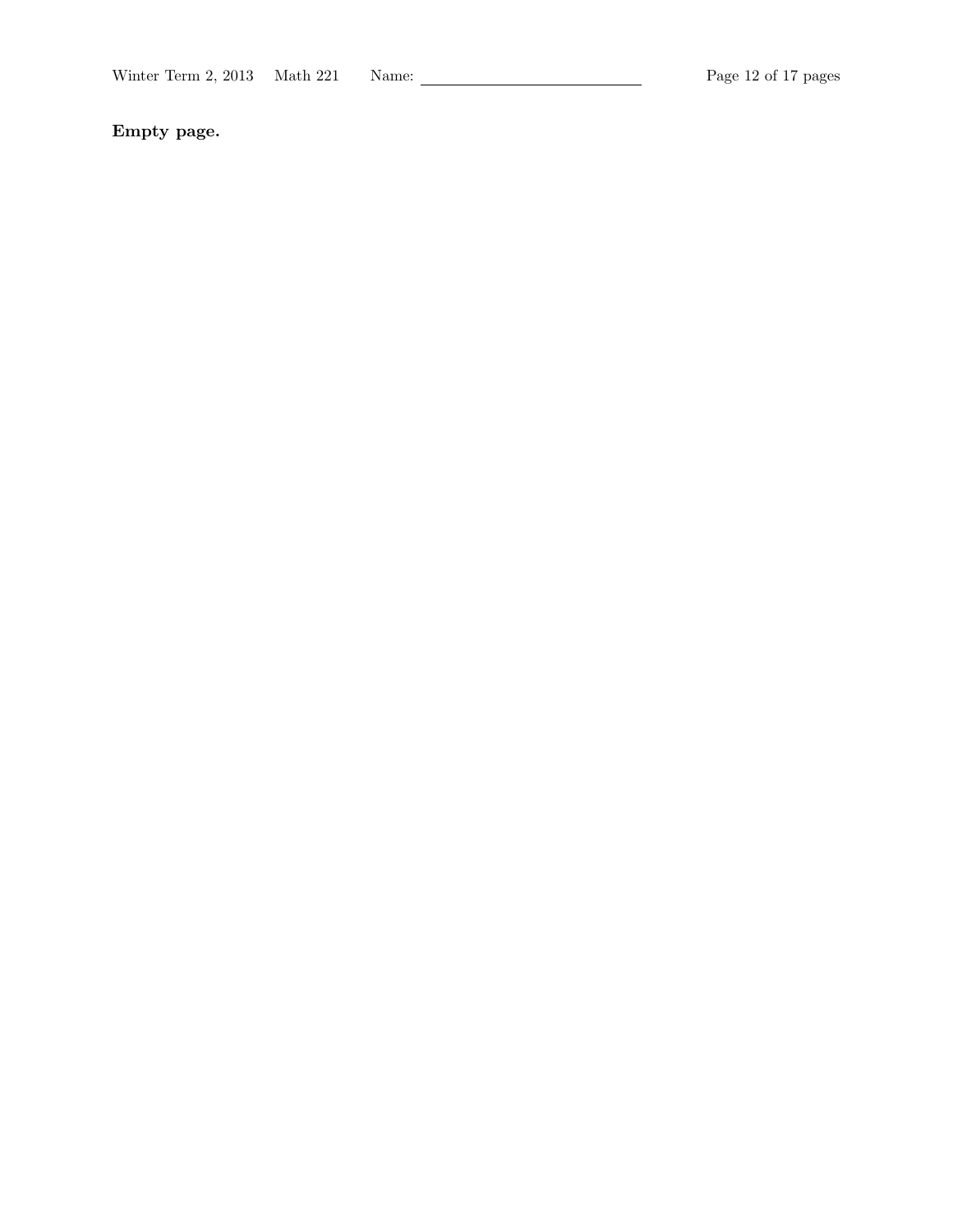Empty page.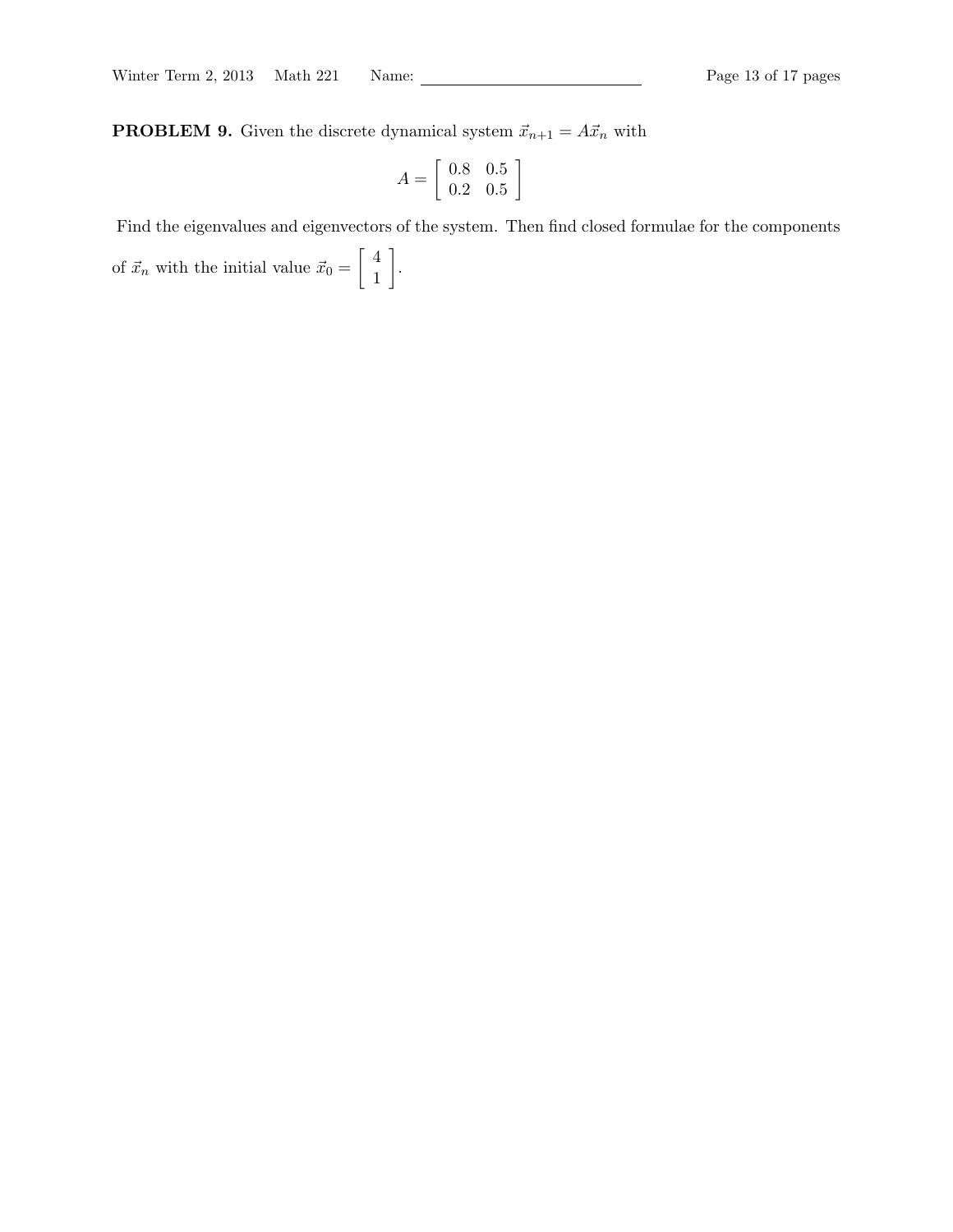**PROBLEM 9.** Given the discrete dynamical system  $\vec{x}_{n+1} = A\vec{x}_n$  with

$$
A = \left[ \begin{array}{cc} 0.8 & 0.5 \\ 0.2 & 0.5 \end{array} \right]
$$

Find the eigenvalues and eigenvectors of the system. Then find closed formulae for the components

of  $\vec{x}_n$  with the initial value  $\vec{x}_0 = \begin{bmatrix} 4 \\ 1 \end{bmatrix}$ 1 .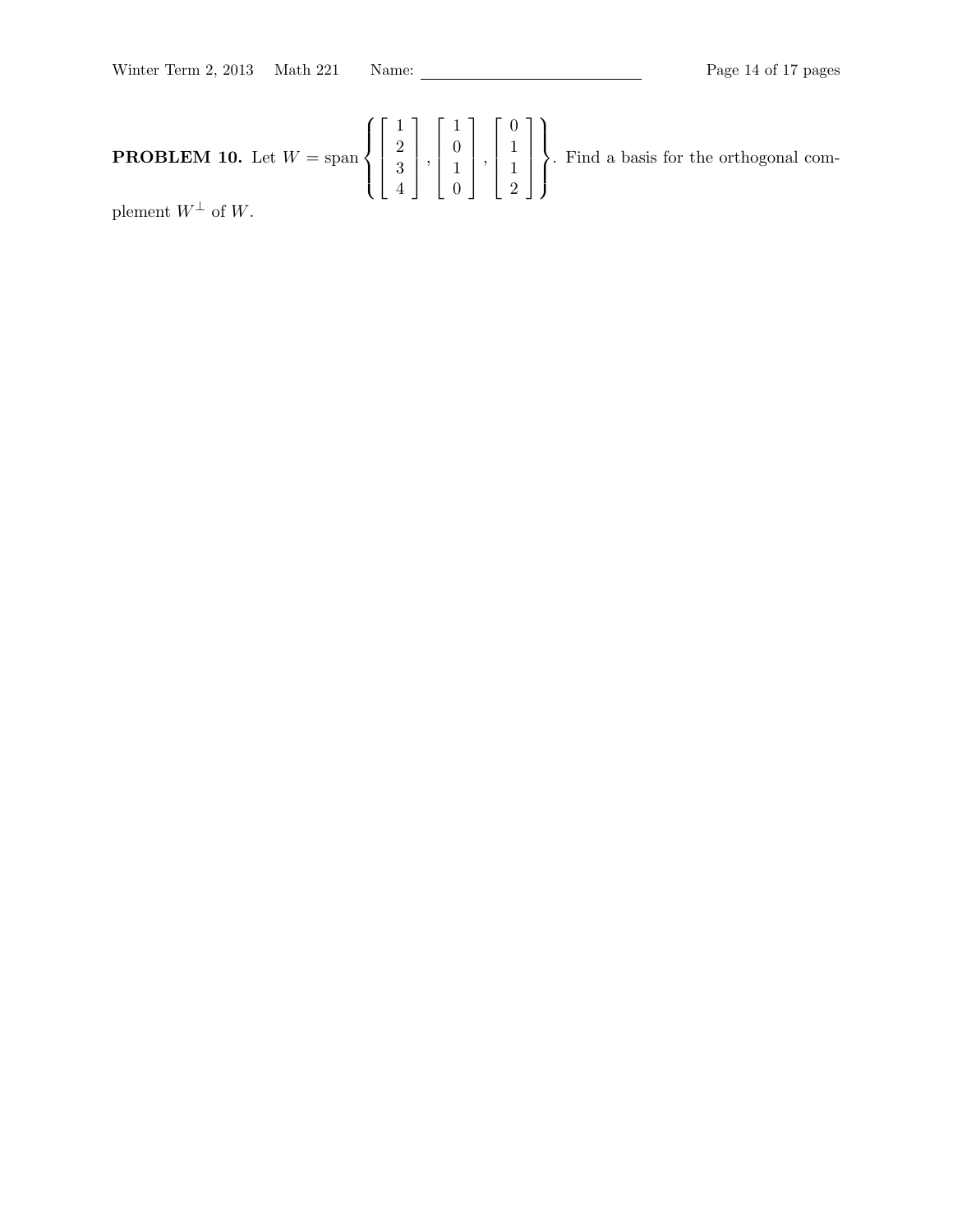**PROBLEM 10.** Let 
$$
W = \text{span}\left\{ \begin{bmatrix} 1 \\ 2 \\ 3 \\ 4 \end{bmatrix}, \begin{bmatrix} 1 \\ 0 \\ 1 \\ 0 \end{bmatrix}, \begin{bmatrix} 0 \\ 1 \\ 1 \\ 2 \end{bmatrix} \right\}
$$
. Find a basis for the orthogonal com-

plement  $W^{\perp}$  of W.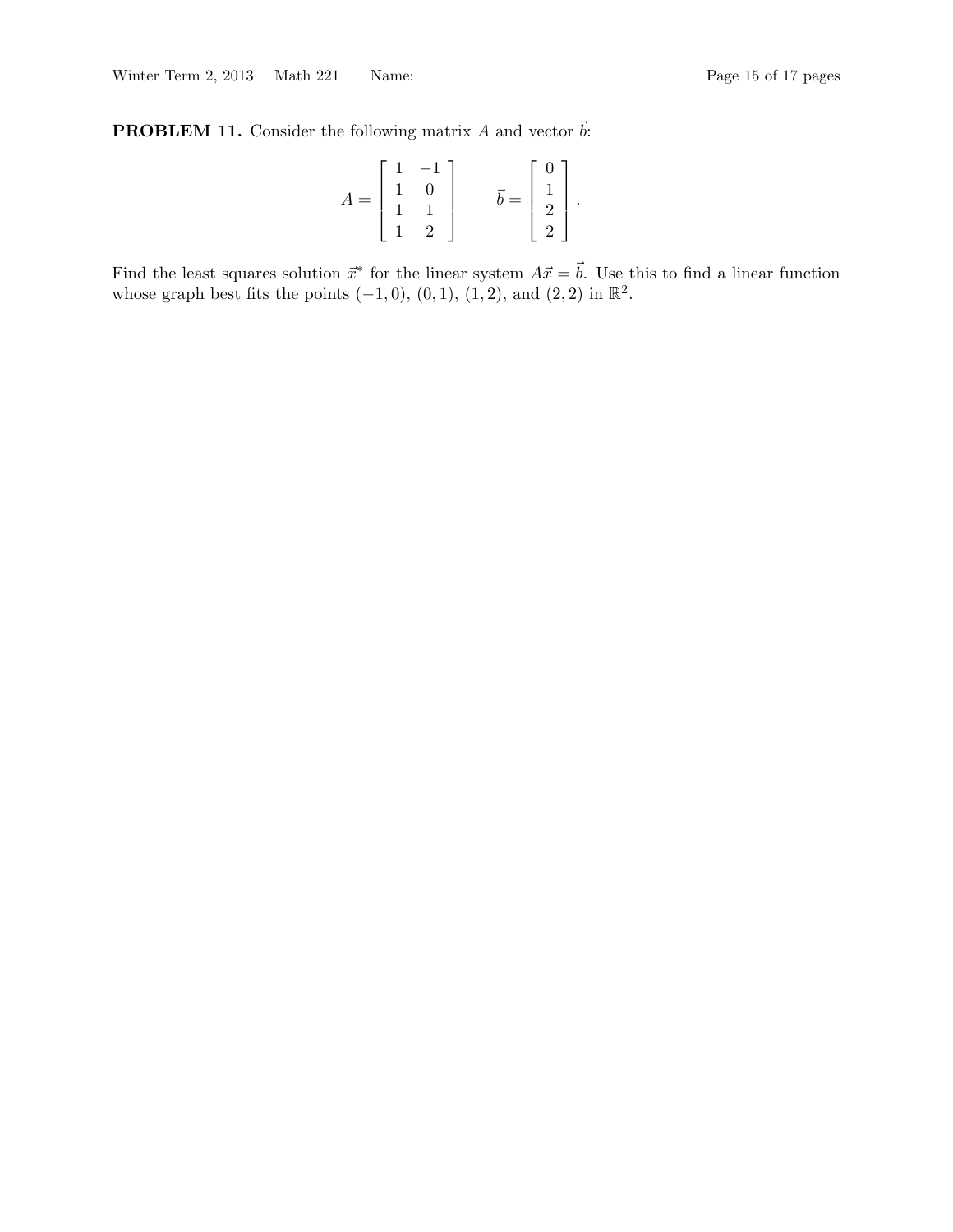**PROBLEM 11.** Consider the following matrix A and vector  $\vec{b}$ :

$$
A = \begin{bmatrix} 1 & -1 \\ 1 & 0 \\ 1 & 1 \\ 1 & 2 \end{bmatrix} \qquad \vec{b} = \begin{bmatrix} 0 \\ 1 \\ 2 \\ 2 \end{bmatrix}.
$$

Find the least squares solution  $\vec{x}^*$  for the linear system  $A\vec{x} = \vec{b}$ . Use this to find a linear function whose graph best fits the points  $(-1,0)$ ,  $(0,1)$ ,  $(1,2)$ , and  $(2,2)$  in  $\mathbb{R}^2$ .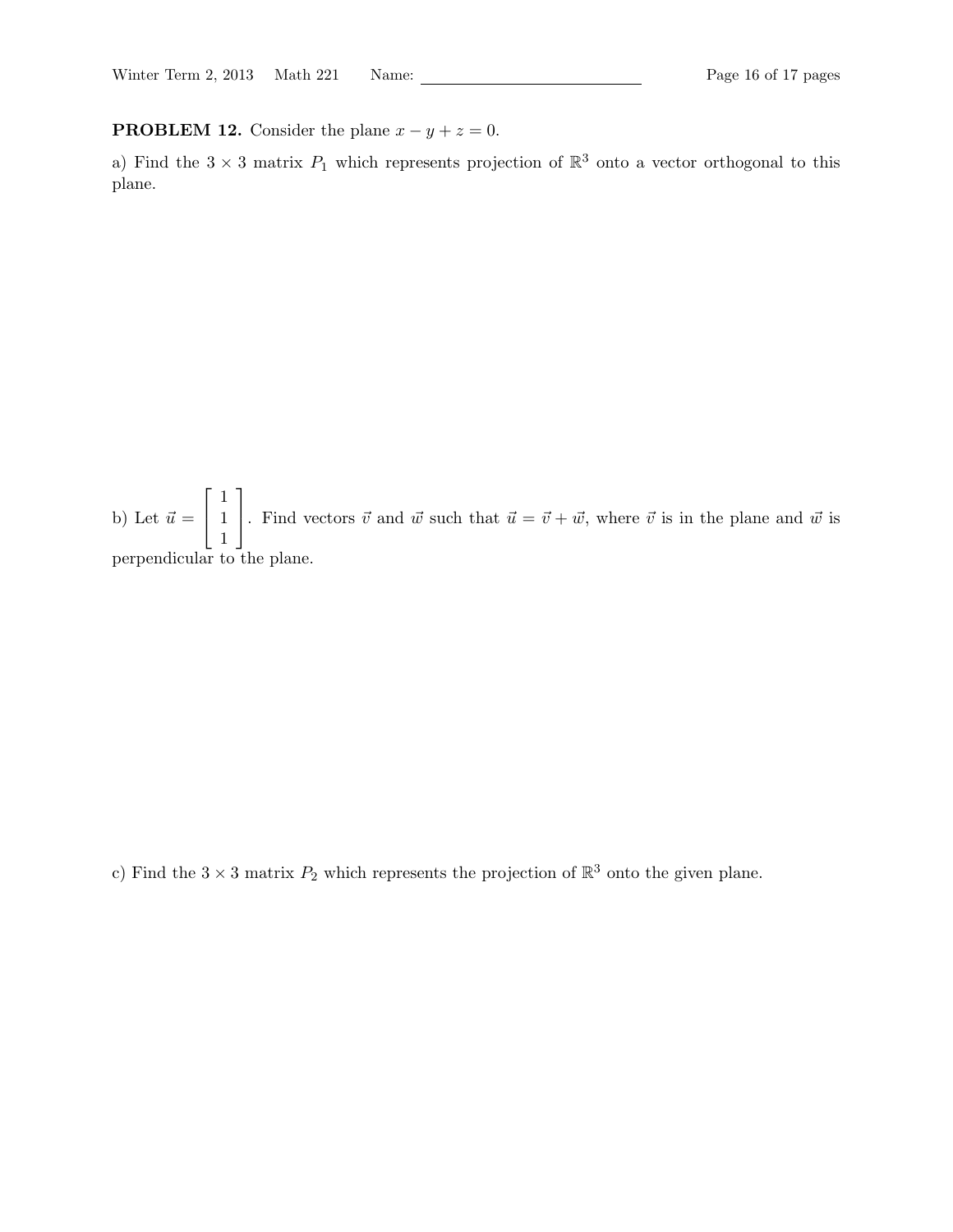**PROBLEM 12.** Consider the plane  $x - y + z = 0$ .

a) Find the  $3 \times 3$  matrix  $P_1$  which represents projection of  $\mathbb{R}^3$  onto a vector orthogonal to this plane.

b) Let  $\vec{u} =$  $\sqrt{ }$  $\overline{1}$ 1 1 1 1 . Find vectors  $\vec{v}$  and  $\vec{w}$  such that  $\vec{u} = \vec{v} + \vec{w}$ , where  $\vec{v}$  is in the plane and  $\vec{w}$  is perpendicular to the plane.

c) Find the  $3 \times 3$  matrix  $P_2$  which represents the projection of  $\mathbb{R}^3$  onto the given plane.